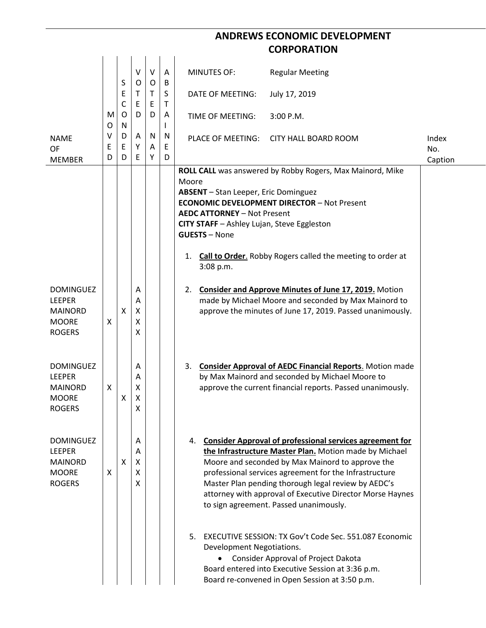## **ANDREWS ECONOMIC DEVELOPMENT CORPORATION**

| <b>NAME</b><br><b>OF</b>          | M<br>O<br>V<br>E<br>D | S<br>Ε<br>C<br>O<br>N<br>D<br>E<br>D | $\vee$<br>O<br>Τ<br>E<br>D<br>A<br>Υ<br>E | V<br>O<br>T.<br>E<br>D<br>N<br>A<br>Υ | $\mathsf{A}$<br>B<br>S<br>Τ<br>Α<br>N<br>E<br>D | <b>MINUTES OF:</b>                                                                                                                      | <b>Regular Meeting</b>                                                                                                |              |
|-----------------------------------|-----------------------|--------------------------------------|-------------------------------------------|---------------------------------------|-------------------------------------------------|-----------------------------------------------------------------------------------------------------------------------------------------|-----------------------------------------------------------------------------------------------------------------------|--------------|
|                                   |                       |                                      |                                           |                                       |                                                 | DATE OF MEETING:                                                                                                                        | July 17, 2019                                                                                                         |              |
|                                   |                       |                                      |                                           |                                       |                                                 | TIME OF MEETING:                                                                                                                        | 3:00 P.M.                                                                                                             |              |
|                                   |                       |                                      |                                           |                                       |                                                 | PLACE OF MEETING:                                                                                                                       | <b>CITY HALL BOARD ROOM</b>                                                                                           | Index<br>No. |
| <b>MEMBER</b>                     |                       |                                      |                                           |                                       |                                                 |                                                                                                                                         | ROLL CALL was answered by Robby Rogers, Max Mainord, Mike                                                             | Caption      |
|                                   |                       |                                      |                                           |                                       |                                                 | Moore                                                                                                                                   |                                                                                                                       |              |
|                                   |                       |                                      |                                           |                                       |                                                 | <b>ABSENT</b> - Stan Leeper, Eric Dominguez<br><b>ECONOMIC DEVELOPMENT DIRECTOR - Not Present</b><br><b>AEDC ATTORNEY - Not Present</b> |                                                                                                                       |              |
|                                   |                       |                                      |                                           |                                       |                                                 |                                                                                                                                         |                                                                                                                       |              |
|                                   |                       |                                      |                                           |                                       |                                                 | CITY STAFF - Ashley Lujan, Steve Eggleston                                                                                              |                                                                                                                       |              |
|                                   |                       |                                      |                                           |                                       |                                                 | <b>GUESTS - None</b>                                                                                                                    |                                                                                                                       |              |
|                                   |                       |                                      |                                           |                                       |                                                 | 1.<br>3:08 p.m.                                                                                                                         | <b>Call to Order.</b> Robby Rogers called the meeting to order at                                                     |              |
| <b>DOMINGUEZ</b>                  |                       |                                      | Α                                         |                                       |                                                 | 2.                                                                                                                                      | <b>Consider and Approve Minutes of June 17, 2019.</b> Motion                                                          |              |
| <b>LEEPER</b>                     |                       |                                      | Α                                         |                                       |                                                 |                                                                                                                                         | made by Michael Moore and seconded by Max Mainord to                                                                  |              |
| <b>MAINORD</b><br><b>MOORE</b>    | X                     | $\mathsf{X}$                         | X<br>X                                    |                                       |                                                 |                                                                                                                                         | approve the minutes of June 17, 2019. Passed unanimously.                                                             |              |
| <b>ROGERS</b>                     |                       |                                      | X                                         |                                       |                                                 |                                                                                                                                         |                                                                                                                       |              |
|                                   |                       |                                      |                                           |                                       |                                                 |                                                                                                                                         |                                                                                                                       |              |
| <b>DOMINGUEZ</b>                  |                       |                                      |                                           |                                       |                                                 |                                                                                                                                         |                                                                                                                       |              |
| <b>LEEPER</b>                     |                       |                                      | Α<br>Α                                    |                                       |                                                 | 3.                                                                                                                                      | <b>Consider Approval of AEDC Financial Reports.</b> Motion made<br>by Max Mainord and seconded by Michael Moore to    |              |
| <b>MAINORD</b>                    | X                     |                                      | X                                         |                                       |                                                 |                                                                                                                                         | approve the current financial reports. Passed unanimously.                                                            |              |
| <b>MOORE</b><br><b>ROGERS</b>     |                       | X                                    | х<br>X                                    |                                       |                                                 |                                                                                                                                         |                                                                                                                       |              |
|                                   |                       |                                      |                                           |                                       |                                                 |                                                                                                                                         |                                                                                                                       |              |
|                                   |                       |                                      |                                           |                                       |                                                 |                                                                                                                                         |                                                                                                                       |              |
| <b>DOMINGUEZ</b><br><b>LEEPER</b> |                       |                                      | Α<br>A                                    |                                       |                                                 |                                                                                                                                         | 4. Consider Approval of professional services agreement for<br>the Infrastructure Master Plan. Motion made by Michael |              |
| <b>MAINORD</b>                    |                       | X                                    | X                                         |                                       |                                                 |                                                                                                                                         | Moore and seconded by Max Mainord to approve the                                                                      |              |
| <b>MOORE</b>                      | X                     |                                      | X                                         |                                       |                                                 |                                                                                                                                         | professional services agreement for the Infrastructure                                                                |              |
| <b>ROGERS</b>                     |                       |                                      | X                                         |                                       |                                                 |                                                                                                                                         | Master Plan pending thorough legal review by AEDC's<br>attorney with approval of Executive Director Morse Haynes      |              |
|                                   |                       |                                      |                                           |                                       |                                                 |                                                                                                                                         | to sign agreement. Passed unanimously.                                                                                |              |
|                                   |                       |                                      |                                           |                                       |                                                 |                                                                                                                                         |                                                                                                                       |              |
|                                   |                       |                                      |                                           |                                       |                                                 | 5.                                                                                                                                      | EXECUTIVE SESSION: TX Gov't Code Sec. 551.087 Economic                                                                |              |
|                                   |                       |                                      |                                           |                                       |                                                 | Development Negotiations.                                                                                                               |                                                                                                                       |              |
|                                   |                       |                                      |                                           |                                       |                                                 |                                                                                                                                         | Consider Approval of Project Dakota<br>Board entered into Executive Session at 3:36 p.m.                              |              |
|                                   |                       |                                      |                                           |                                       |                                                 |                                                                                                                                         | Board re-convened in Open Session at 3:50 p.m.                                                                        |              |
|                                   |                       |                                      |                                           |                                       |                                                 |                                                                                                                                         |                                                                                                                       |              |